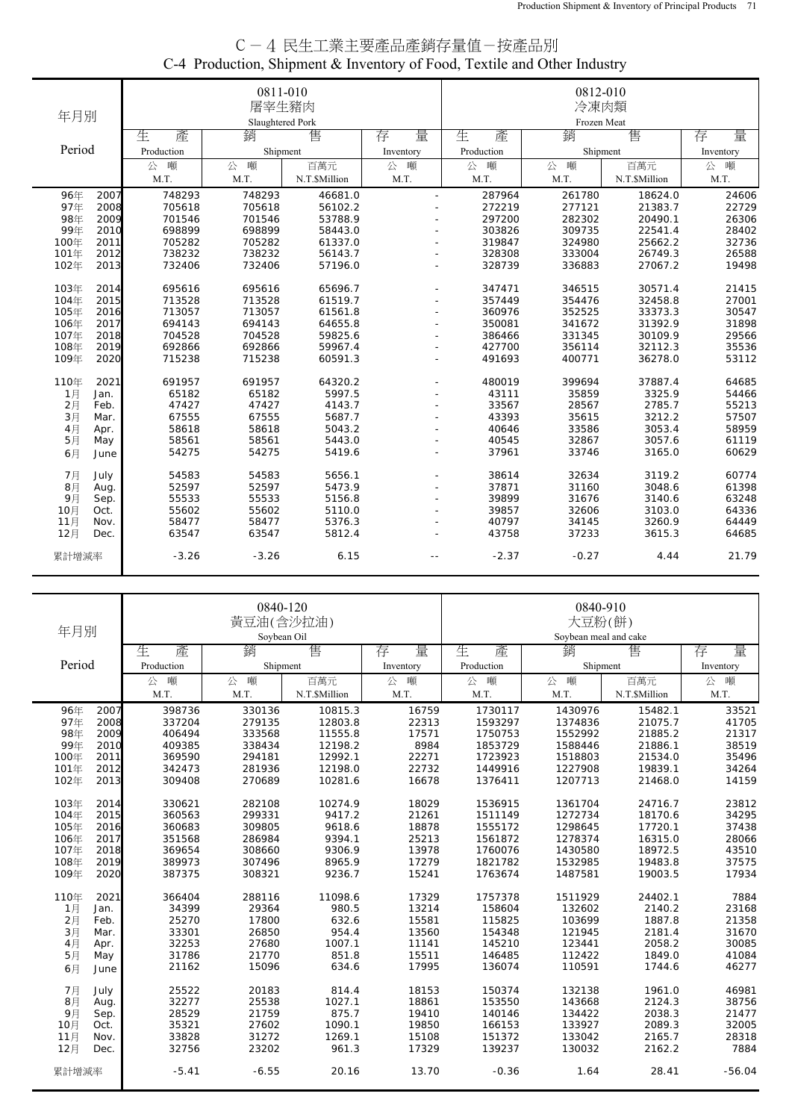| C-4 民生工業主要產品產銷存量值-按產品別                                                   |
|--------------------------------------------------------------------------|
| C-4 Production, Shipment & Inventory of Food, Textile and Other Industry |
|                                                                          |

|        |      |            | 0811-010         |               |           |             | 0812-010 |               |           |  |
|--------|------|------------|------------------|---------------|-----------|-------------|----------|---------------|-----------|--|
|        |      |            | 屠宰生豬肉            |               |           |             | 冷凍肉類     |               |           |  |
| 年月別    |      |            | Slaughtered Pork |               |           | Frozen Meat |          |               |           |  |
|        |      | 生<br>產     | 銷                | 售             | 量<br>存    | 生<br>產      | 銷        | 售             | 存<br>量    |  |
| Period |      | Production | Shipment         |               | Inventory | Production  | Shipment |               | Inventory |  |
|        |      | 噸<br>公     | 噸<br>公           | 百萬元           | 噸<br>公    | 噸<br>公      | 噸<br>公   | 百萬元           | 噸<br>公    |  |
|        |      | M.T.       | M.T.             | N.T.\$Million | M.T.      | M.T.        | M.T.     | N.T.\$Million | M.T.      |  |
| 96年    | 2007 | 748293     | 748293           | 46681.0       |           | 287964      | 261780   | 18624.0       | 24606     |  |
| 97年    | 2008 | 705618     | 705618           | 56102.2       |           | 272219      | 277121   | 21383.7       | 22729     |  |
| 98年    | 2009 | 701546     | 701546           | 53788.9       |           | 297200      | 282302   | 20490.1       | 26306     |  |
| 99年    | 2010 | 698899     | 698899           | 58443.0       |           | 303826      | 309735   | 22541.4       | 28402     |  |
| 100年   | 2011 | 705282     | 705282           | 61337.0       |           | 319847      | 324980   | 25662.2       | 32736     |  |
| 101年   | 2012 | 738232     | 738232           | 56143.7       |           | 328308      | 333004   | 26749.3       | 26588     |  |
| 102年   | 2013 | 732406     | 732406           | 57196.0       |           | 328739      | 336883   | 27067.2       | 19498     |  |
| 103年   | 2014 | 695616     | 695616           | 65696.7       |           | 347471      | 346515   | 30571.4       | 21415     |  |
| 104年   | 2015 | 713528     | 713528           | 61519.7       |           | 357449      | 354476   | 32458.8       | 27001     |  |
| 105年   | 2016 | 713057     | 713057           | 61561.8       |           | 360976      | 352525   | 33373.3       | 30547     |  |
| 106年   | 2017 | 694143     | 694143           | 64655.8       |           | 350081      | 341672   | 31392.9       | 31898     |  |
| 107年   | 2018 | 704528     | 704528           | 59825.6       |           | 386466      | 331345   | 30109.9       | 29566     |  |
| 108年   | 2019 | 692866     | 692866           | 59967.4       |           | 427700      | 356114   | 32112.3       | 35536     |  |
| 109年   | 2020 | 715238     | 715238           | 60591.3       |           | 491693      | 400771   | 36278.0       | 53112     |  |
| 110年   | 2021 | 691957     | 691957           | 64320.2       |           | 480019      | 399694   | 37887.4       | 64685     |  |
| 1月     | Jan. | 65182      | 65182            | 5997.5        |           | 43111       | 35859    | 3325.9        | 54466     |  |
| 2月     | Feb. | 47427      | 47427            | 4143.7        |           | 33567       | 28567    | 2785.7        | 55213     |  |
| 3月     | Mar. | 67555      | 67555            | 5687.7        |           | 43393       | 35615    | 3212.2        | 57507     |  |
| 4月     | Apr. | 58618      | 58618            | 5043.2        |           | 40646       | 33586    | 3053.4        | 58959     |  |
| 5月     | May  | 58561      | 58561            | 5443.0        |           | 40545       | 32867    | 3057.6        | 61119     |  |
| 6月     | June | 54275      | 54275            | 5419.6        |           | 37961       | 33746    | 3165.0        | 60629     |  |
| 7月     | July | 54583      | 54583            | 5656.1        |           | 38614       | 32634    | 3119.2        | 60774     |  |
| 8月     | Aug. | 52597      | 52597            | 5473.9        |           | 37871       | 31160    | 3048.6        | 61398     |  |
| 9月     | Sep. | 55533      | 55533            | 5156.8        |           | 39899       | 31676    | 3140.6        | 63248     |  |
| 10月    | Oct. | 55602      | 55602            | 5110.0        |           | 39857       | 32606    | 3103.0        | 64336     |  |
| 11月    | Nov. | 58477      | 58477            | 5376.3        |           | 40797       | 34145    | 3260.9        | 64449     |  |
| 12月    | Dec. | 63547      | 63547            | 5812.4        |           | 43758       | 37233    | 3615.3        | 64685     |  |
| 累計增減率  |      | $-3.26$    | $-3.26$          | 6.15          |           | $-2.37$     | $-0.27$  | 4.44          | 21.79     |  |

| 年月別          |            | 0840-120<br>黃豆油(含沙拉油)<br>Soybean Oil |               |           |            | 0840-910<br>大豆粉(餅)<br>Sovbean meal and cake |              |           |
|--------------|------------|--------------------------------------|---------------|-----------|------------|---------------------------------------------|--------------|-----------|
|              | 產<br>生     | 銷                                    | 售             | 存<br>量    | 生<br>產     | 銷                                           | 售            | 量<br>存    |
| Period       | Production | Shipment                             |               | Inventory | Production | Shipment                                    |              | Inventory |
|              | 噸<br>公     | 公<br>噸                               | 百萬元           | 公<br>噸    | 噸<br>公     | 噸<br>公                                      | 百萬元          | 噸<br>公    |
|              | M.T.       | M.T.                                 | N.T.\$Million | M.T.      | M.T.       | M.T.                                        | N.T.SMillion | M.T.      |
| 96年<br>2007  | 398736     | 330136                               | 10815.3       | 16759     | 1730117    | 1430976                                     | 15482.1      | 33521     |
| 97年<br>2008  | 337204     | 279135                               | 12803.8       | 22313     | 1593297    | 1374836                                     | 21075.7      | 41705     |
| 98年<br>2009  | 406494     | 333568                               | 11555.8       | 17571     | 1750753    | 1552992                                     | 21885.2      | 21317     |
| 99年<br>2010  | 409385     | 338434                               | 12198.2       | 8984      | 1853729    | 1588446                                     | 21886.1      | 38519     |
| 100年<br>2011 | 369590     | 294181                               | 12992.1       | 22271     | 1723923    | 1518803                                     | 21534.0      | 35496     |
| 101年<br>2012 | 342473     | 281936                               | 12198.0       | 22732     | 1449916    | 1227908                                     | 19839.1      | 34264     |
| 2013<br>102年 | 309408     | 270689                               | 10281.6       | 16678     | 1376411    | 1207713                                     | 21468.0      | 14159     |
| 103年<br>2014 | 330621     | 282108                               | 10274.9       | 18029     | 1536915    | 1361704                                     | 24716.7      | 23812     |
| 2015<br>104年 | 360563     | 299331                               | 9417.2        | 21261     | 1511149    | 1272734                                     | 18170.6      | 34295     |
| 105年<br>2016 | 360683     | 309805                               | 9618.6        | 18878     | 1555172    | 1298645                                     | 17720.1      | 37438     |
| 2017<br>106年 | 351568     | 286984                               | 9394.1        | 25213     | 1561872    | 1278374                                     | 16315.0      | 28066     |
| 107年<br>2018 | 369654     | 308660                               | 9306.9        | 13978     | 1760076    | 1430580                                     | 18972.5      | 43510     |
| 108年<br>2019 | 389973     | 307496                               | 8965.9        | 17279     | 1821782    | 1532985                                     | 19483.8      | 37575     |
| 109年<br>2020 | 387375     | 308321                               | 9236.7        | 15241     | 1763674    | 1487581                                     | 19003.5      | 17934     |
| 110年<br>2021 | 366404     | 288116                               | 11098.6       | 17329     | 1757378    | 1511929                                     | 24402.1      | 7884      |
| 1月<br>Jan.   | 34399      | 29364                                | 980.5         | 13214     | 158604     | 132602                                      | 2140.2       | 23168     |
| 2月<br>Feb.   | 25270      | 17800                                | 632.6         | 15581     | 115825     | 103699                                      | 1887.8       | 21358     |
| 3月<br>Mar.   | 33301      | 26850                                | 954.4         | 13560     | 154348     | 121945                                      | 2181.4       | 31670     |
| 4月<br>Apr.   | 32253      | 27680                                | 1007.1        | 11141     | 145210     | 123441                                      | 2058.2       | 30085     |
| 5月<br>May    | 31786      | 21770                                | 851.8         | 15511     | 146485     | 112422                                      | 1849.0       | 41084     |
| 6月<br>June   | 21162      | 15096                                | 634.6         | 17995     | 136074     | 110591                                      | 1744.6       | 46277     |
| 7月<br>July   | 25522      | 20183                                | 814.4         | 18153     | 150374     | 132138                                      | 1961.0       | 46981     |
| 8月<br>Aug.   | 32277      | 25538                                | 1027.1        | 18861     | 153550     | 143668                                      | 2124.3       | 38756     |
| 9月<br>Sep.   | 28529      | 21759                                | 875.7         | 19410     | 140146     | 134422                                      | 2038.3       | 21477     |
| 10月<br>Oct.  | 35321      | 27602                                | 1090.1        | 19850     | 166153     | 133927                                      | 2089.3       | 32005     |
| 11月<br>Nov.  | 33828      | 31272                                | 1269.1        | 15108     | 151372     | 133042                                      | 2165.7       | 28318     |
| 12月<br>Dec.  | 32756      | 23202                                | 961.3         | 17329     | 139237     | 130032                                      | 2162.2       | 7884      |
| 累計增減率        | $-5.41$    | $-6.55$                              | 20.16         | 13.70     | $-0.36$    | 1.64                                        | 28.41        | $-56.04$  |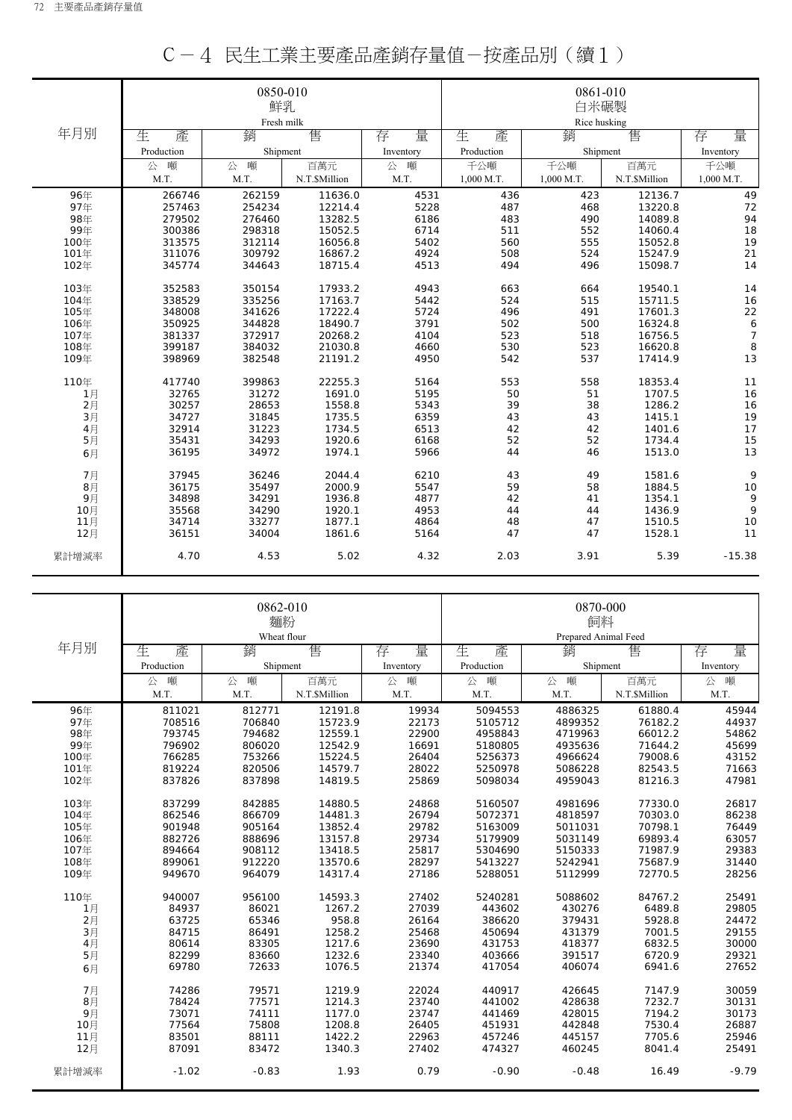|       |            | 0850-010   |               |           |              | 0861-010   |               |            |  |
|-------|------------|------------|---------------|-----------|--------------|------------|---------------|------------|--|
|       |            | 鮮乳         |               |           | 白米碾製         |            |               |            |  |
|       |            | Fresh milk |               |           | Rice husking |            |               |            |  |
| 年月別   | 生<br>產     | 銷          | 售             | 量<br>存    | 生<br>產       | 銷          | 售             | 量<br>存     |  |
|       | Production | Shipment   |               | Inventory | Production   | Shipment   |               | Inventory  |  |
|       | 噸<br>公     | 噸<br>公     | 百萬元           | 公<br>噸    | 千公噸          | 千公噸        | 百萬元           | 千公噸        |  |
|       | M.T.       | M.T.       | N.T.\$Million | M.T.      | 1,000 M.T.   | 1,000 M.T. | N.T.\$Million | 1,000 M.T. |  |
| 96年   | 266746     | 262159     | 11636.0       | 4531      | 436          | 423        | 12136.7       | 49         |  |
| 97年   | 257463     | 254234     | 12214.4       | 5228      | 487          | 468        | 13220.8       | 72         |  |
| 98年   | 279502     | 276460     | 13282.5       | 6186      | 483          | 490        | 14089.8       | 94         |  |
| 99年   | 300386     | 298318     | 15052.5       | 6714      | 511          | 552        | 14060.4       | 18         |  |
| 100年  | 313575     | 312114     | 16056.8       | 5402      | 560          | 555        | 15052.8       | 19         |  |
| 101年  | 311076     | 309792     | 16867.2       | 4924      | 508          | 524        | 15247.9       | 21         |  |
| 102年  | 345774     | 344643     | 18715.4       | 4513      | 494          | 496        | 15098.7       | 14         |  |
| 103年  | 352583     | 350154     | 17933.2       | 4943      | 663          | 664        | 19540.1       | 14         |  |
| 104年  | 338529     | 335256     | 17163.7       | 5442      | 524          | 515        | 15711.5       | 16         |  |
| 105年  | 348008     | 341626     | 17222.4       | 5724      | 496          | 491        | 17601.3       | 22         |  |
| 106年  | 350925     | 344828     | 18490.7       | 3791      | 502          | 500        | 16324.8       | 6          |  |
| 107年  | 381337     | 372917     | 20268.2       | 4104      | 523          | 518        | 16756.5       | 7          |  |
| 108年  | 399187     | 384032     | 21030.8       | 4660      | 530          | 523        | 16620.8       | 8          |  |
| 109年  | 398969     | 382548     | 21191.2       | 4950      | 542          | 537        | 17414.9       | 13         |  |
| 110年  | 417740     | 399863     | 22255.3       | 5164      | 553          | 558        | 18353.4       | 11         |  |
| 1月    | 32765      | 31272      | 1691.0        | 5195      | 50           | 51         | 1707.5        | 16         |  |
| 2月    | 30257      | 28653      | 1558.8        | 5343      | 39           | 38         | 1286.2        | 16         |  |
| 3月    | 34727      | 31845      | 1735.5        | 6359      | 43           | 43         | 1415.1        | 19         |  |
| 4月    | 32914      | 31223      | 1734.5        | 6513      | 42           | 42         | 1401.6        | 17         |  |
| 5月    | 35431      | 34293      | 1920.6        | 6168      | 52           | 52         | 1734.4        | 15         |  |
| 6月    | 36195      | 34972      | 1974.1        | 5966      | 44           | 46         | 1513.0        | 13         |  |
| 7月    | 37945      | 36246      | 2044.4        | 6210      | 43           | 49         | 1581.6        | 9          |  |
| 8月    | 36175      | 35497      | 2000.9        | 5547      | 59           | 58         | 1884.5        | 10         |  |
| 9月    | 34898      | 34291      | 1936.8        | 4877      | 42           | 41         | 1354.1        | 9          |  |
| 10月   | 35568      | 34290      | 1920.1        | 4953      | 44           | 44         | 1436.9        | 9          |  |
| 11月   | 34714      | 33277      | 1877.1        | 4864      | 48           | 47         | 1510.5        | 10         |  |
| 12月   | 36151      | 34004      | 1861.6        | 5164      | 47           | 47         | 1528.1        | 11         |  |
| 累計增減率 | 4.70       | 4.53       | 5.02          | 4.32      | 2.03         | 3.91       | 5.39          | $-15.38$   |  |

|--|--|--|--|--|--|

|       |            | 0862-010<br>麵粉 |               |           | 0870-000<br>飼料       |          |               |           |  |
|-------|------------|----------------|---------------|-----------|----------------------|----------|---------------|-----------|--|
|       |            |                | Wheat flour   |           | Prepared Animal Feed |          |               |           |  |
| 年月別   | 產<br>生     | 銷              | 售             | 量<br>存    | 生<br>產               | 銷        | 售             | 量<br>存    |  |
|       | Production |                | Shipment      | Inventory | Production           | Shipment |               | Inventory |  |
|       | 噸<br>公     | 噸<br>公         | 百萬元           | 噸<br>公    | 噸<br>公               | 噸<br>公   | 百萬元           | 噸<br>公    |  |
|       | M.T.       | M.T.           | N.T.\$Million | M.T.      | M.T.                 | M.T.     | N.T.\$Million | M.T.      |  |
| 96年   | 811021     | 812771         | 12191.8       | 19934     | 5094553              | 4886325  | 61880.4       | 45944     |  |
| 97年   | 708516     | 706840         | 15723.9       | 22173     | 5105712              | 4899352  | 76182.2       | 44937     |  |
| 98年   | 793745     | 794682         | 12559.1       | 22900     | 4958843              | 4719963  | 66012.2       | 54862     |  |
| 99年   | 796902     | 806020         | 12542.9       | 16691     | 5180805              | 4935636  | 71644.2       | 45699     |  |
| 100年  | 766285     | 753266         | 15224.5       | 26404     | 5256373              | 4966624  | 79008.6       | 43152     |  |
| 101年  | 819224     | 820506         | 14579.7       | 28022     | 5250978              | 5086228  | 82543.5       | 71663     |  |
| 102年  | 837826     | 837898         | 14819.5       | 25869     | 5098034              | 4959043  | 81216.3       | 47981     |  |
| 103年  | 837299     | 842885         | 14880.5       | 24868     | 5160507              | 4981696  | 77330.0       | 26817     |  |
| 104年  | 862546     | 866709         | 14481.3       | 26794     | 5072371              | 4818597  | 70303.0       | 86238     |  |
| 105年  | 901948     | 905164         | 13852.4       | 29782     | 5163009              | 5011031  | 70798.1       | 76449     |  |
| 106年  | 882726     | 888696         | 13157.8       | 29734     | 5179909              | 5031149  | 69893.4       | 63057     |  |
| 107年  | 894664     | 908112         | 13418.5       | 25817     | 5304690              | 5150333  | 71987.9       | 29383     |  |
| 108年  | 899061     | 912220         | 13570.6       | 28297     | 5413227              | 5242941  | 75687.9       | 31440     |  |
| 109年  | 949670     | 964079         | 14317.4       | 27186     | 5288051              | 5112999  | 72770.5       | 28256     |  |
| 110年  | 940007     | 956100         | 14593.3       | 27402     | 5240281              | 5088602  | 84767.2       | 25491     |  |
| 1月    | 84937      | 86021          | 1267.2        | 27039     | 443602               | 430276   | 6489.8        | 29805     |  |
| 2月    | 63725      | 65346          | 958.8         | 26164     | 386620               | 379431   | 5928.8        | 24472     |  |
| 3月    | 84715      | 86491          | 1258.2        | 25468     | 450694               | 431379   | 7001.5        | 29155     |  |
| 4月    | 80614      | 83305          | 1217.6        | 23690     | 431753               | 418377   | 6832.5        | 30000     |  |
| 5月    | 82299      | 83660          | 1232.6        | 23340     | 403666               | 391517   | 6720.9        | 29321     |  |
| 6月    | 69780      | 72633          | 1076.5        | 21374     | 417054               | 406074   | 6941.6        | 27652     |  |
| 7月    | 74286      | 79571          | 1219.9        | 22024     | 440917               | 426645   | 7147.9        | 30059     |  |
| 8月    | 78424      | 77571          | 1214.3        | 23740     | 441002               | 428638   | 7232.7        | 30131     |  |
| 9月    | 73071      | 74111          | 1177.0        | 23747     | 441469               | 428015   | 7194.2        | 30173     |  |
| 10月   | 77564      | 75808          | 1208.8        | 26405     | 451931               | 442848   | 7530.4        | 26887     |  |
| 11月   | 83501      | 88111          | 1422.2        | 22963     | 457246               | 445157   | 7705.6        | 25946     |  |
| 12月   | 87091      | 83472          | 1340.3        | 27402     | 474327               | 460245   | 8041.4        | 25491     |  |
| 累計增減率 | $-1.02$    | $-0.83$        | 1.93          | 0.79      | $-0.90$              | $-0.48$  | 16.49         | $-9.79$   |  |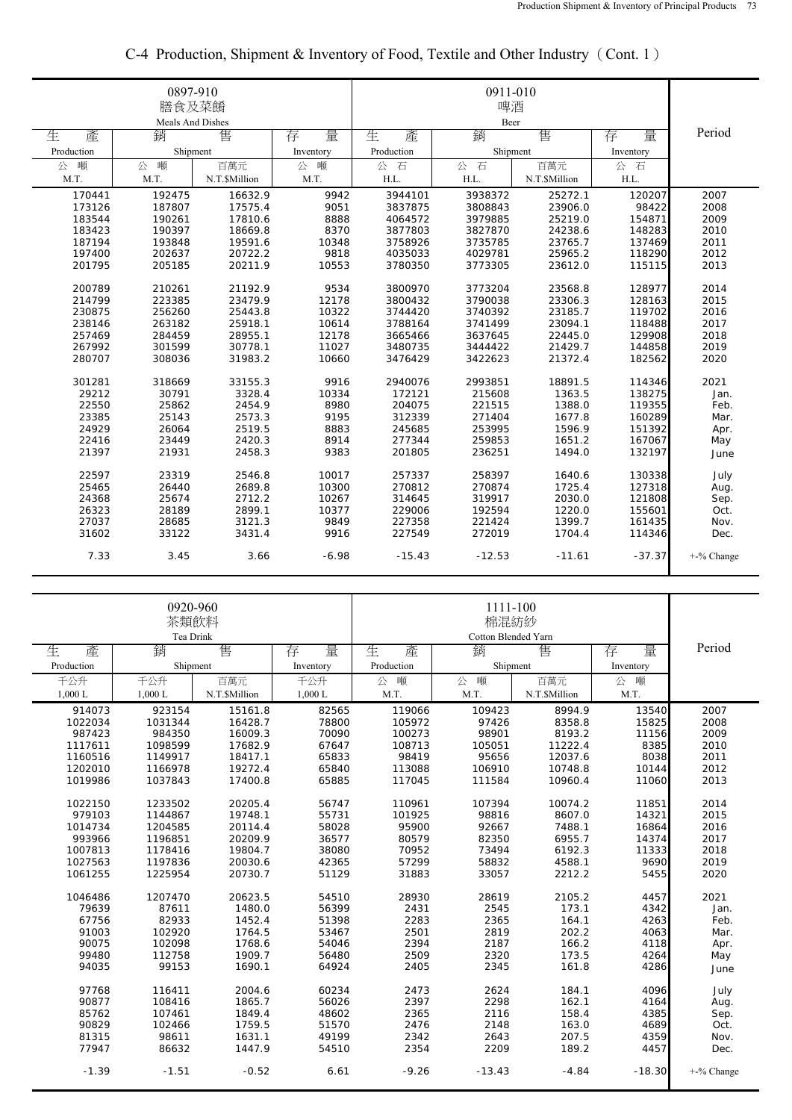|            | 0897-910<br>膳食及菜餚<br>Meals And Dishes |               |           |            |           |               |                       |            |
|------------|---------------------------------------|---------------|-----------|------------|-----------|---------------|-----------------------|------------|
| 生<br>產     | 銷                                     | 售             | 量<br>存    | 生<br>產     | Beer<br>銷 | 售             | 量<br>存                | Period     |
| Production | Shipment                              |               | Inventory | Production | Shipment  |               | Inventory             |            |
| 噸<br>公     | 噸<br>公                                | 百萬元           | 公<br>噸    | 公<br>石     | 公<br>石    | 百萬元           | 公<br>石                |            |
| M.T.       | M.T.                                  | N.T.\$Million | M.T.      | H.L.       | H.L.      | N.T.\$Million | $\operatorname{H.L.}$ |            |
| 170441     | 192475                                | 16632.9       | 9942      | 3944101    | 3938372   | 25272.1       | 120207                | 2007       |
| 173126     | 187807                                | 17575.4       | 9051      | 3837875    | 3808843   | 23906.0       | 98422                 | 2008       |
| 183544     | 190261                                | 17810.6       | 8888      | 4064572    | 3979885   | 25219.0       | 154871                | 2009       |
| 183423     | 190397                                | 18669.8       | 8370      | 3877803    | 3827870   | 24238.6       | 148283                | 2010       |
| 187194     | 193848                                | 19591.6       | 10348     | 3758926    | 3735785   | 23765.7       | 137469                | 2011       |
| 197400     | 202637                                | 20722.2       | 9818      | 4035033    | 4029781   | 25965.2       | 118290                | 2012       |
| 201795     | 205185                                | 20211.9       | 10553     | 3780350    | 3773305   | 23612.0       | 115115                | 2013       |
| 200789     | 210261                                | 21192.9       | 9534      | 3800970    | 3773204   | 23568.8       | 128977                | 2014       |
| 214799     | 223385                                | 23479.9       | 12178     | 3800432    | 3790038   | 23306.3       | 128163                | 2015       |
| 230875     | 256260                                | 25443.8       | 10322     | 3744420    | 3740392   | 23185.7       | 119702                | 2016       |
| 238146     | 263182                                | 25918.1       | 10614     | 3788164    | 3741499   | 23094.1       | 118488                | 2017       |
| 257469     | 284459                                | 28955.1       | 12178     | 3665466    | 3637645   | 22445.0       | 129908                | 2018       |
| 267992     | 301599                                | 30778.1       | 11027     | 3480735    | 3444422   | 21429.7       | 144858                | 2019       |
| 280707     | 308036                                | 31983.2       | 10660     | 3476429    | 3422623   | 21372.4       | 182562                | 2020       |
| 301281     | 318669                                | 33155.3       | 9916      | 2940076    | 2993851   | 18891.5       | 114346                | 2021       |
| 29212      | 30791                                 | 3328.4        | 10334     | 172121     | 215608    | 1363.5        | 138275                | Jan.       |
| 22550      | 25862                                 | 2454.9        | 8980      | 204075     | 221515    | 1388.0        | 119355                | Feb.       |
| 23385      | 25143                                 | 2573.3        | 9195      | 312339     | 271404    | 1677.8        | 160289                | Mar.       |
| 24929      | 26064                                 | 2519.5        | 8883      | 245685     | 253995    | 1596.9        | 151392                | Apr.       |
| 22416      | 23449                                 | 2420.3        | 8914      | 277344     | 259853    | 1651.2        | 167067                | May        |
| 21397      | 21931                                 | 2458.3        | 9383      | 201805     | 236251    | 1494.0        | 132197                | June       |
| 22597      | 23319                                 | 2546.8        | 10017     | 257337     | 258397    | 1640.6        | 130338                | July       |
| 25465      | 26440                                 | 2689.8        | 10300     | 270812     | 270874    | 1725.4        | 127318                | Aug.       |
| 24368      | 25674                                 | 2712.2        | 10267     | 314645     | 319917    | 2030.0        | 121808                | Sep.       |
| 26323      | 28189                                 | 2899.1        | 10377     | 229006     | 192594    | 1220.0        | 155601                | Oct.       |
| 27037      | 28685                                 | 3121.3        | 9849      | 227358     | 221424    | 1399.7        | 161435                | Nov.       |
| 31602      | 33122                                 | 3431.4        | 9916      | 227549     | 272019    | 1704.4        | 114346                | Dec.       |
| 7.33       | 3.45                                  | 3.66          | $-6.98$   | $-15.43$   | $-12.53$  | $-11.61$      | $-37.37$              | +-% Change |

## C-4 Production, Shipment & Inventory of Food, Textile and Other Industry (Cont. 1)

|            | 0920-960<br>茶類飲料<br>Tea Drink |               |           |            |          |               |           |            |
|------------|-------------------------------|---------------|-----------|------------|----------|---------------|-----------|------------|
| 生<br>產     | 銷                             | 售             | 量<br>存    | 生<br>產     | 銷        | 售             | 量<br>存    | Period     |
| Production | Shipment                      |               | Inventory | Production | Shipment |               | Inventory |            |
| 千公升        | 千公升                           | 百萬元           | 千公升       | 噸<br>公     | 噸<br>公   | 百萬元           | 噸<br>公    |            |
| 1.000L     | $1,000$ L                     | N.T.\$Million | 1,000L    | M.T.       | M.T.     | N.T.\$Million | M.T.      |            |
| 914073     | 923154                        | 15161.8       | 82565     | 119066     | 109423   | 8994.9        | 13540     | 2007       |
| 1022034    | 1031344                       | 16428.7       | 78800     | 105972     | 97426    | 8358.8        | 15825     | 2008       |
| 987423     | 984350                        | 16009.3       | 70090     | 100273     | 98901    | 8193.2        | 11156     | 2009       |
| 1117611    | 1098599                       | 17682.9       | 67647     | 108713     | 105051   | 11222.4       | 8385      | 2010       |
| 1160516    | 1149917                       | 18417.1       | 65833     | 98419      | 95656    | 12037.6       | 8038      | 2011       |
| 1202010    | 1166978                       | 19272.4       | 65840     | 113088     | 106910   | 10748.8       | 10144     | 2012       |
| 1019986    | 1037843                       | 17400.8       | 65885     | 117045     | 111584   | 10960.4       | 11060     | 2013       |
| 1022150    | 1233502                       | 20205.4       | 56747     | 110961     | 107394   | 10074.2       | 11851     | 2014       |
| 979103     | 1144867                       | 19748.1       | 55731     | 101925     | 98816    | 8607.0        | 14321     | 2015       |
| 1014734    | 1204585                       | 20114.4       | 58028     | 95900      | 92667    | 7488.1        | 16864     | 2016       |
| 993966     | 1196851                       | 20209.9       | 36577     | 80579      | 82350    | 6955.7        | 14374     | 2017       |
| 1007813    | 1178416                       | 19804.7       | 38080     | 70952      | 73494    | 6192.3        | 11333     | 2018       |
| 1027563    | 1197836                       | 20030.6       | 42365     | 57299      | 58832    | 4588.1        | 9690      | 2019       |
| 1061255    | 1225954                       | 20730.7       | 51129     | 31883      | 33057    | 2212.2        | 5455      | 2020       |
|            |                               |               |           |            |          |               |           |            |
| 1046486    | 1207470                       | 20623.5       | 54510     | 28930      | 28619    | 2105.2        | 4457      | 2021       |
| 79639      | 87611                         | 1480.0        | 56399     | 2431       | 2545     | 173.1         | 4342      | Jan.       |
| 67756      | 82933                         | 1452.4        | 51398     | 2283       | 2365     | 164.1         | 4263      | Feb.       |
| 91003      | 102920                        | 1764.5        | 53467     | 2501       | 2819     | 202.2         | 4063      | Mar.       |
| 90075      | 102098                        | 1768.6        | 54046     | 2394       | 2187     | 166.2         | 4118      | Apr.       |
| 99480      | 112758                        | 1909.7        | 56480     | 2509       | 2320     | 173.5         | 4264      | May        |
| 94035      | 99153                         | 1690.1        | 64924     | 2405       | 2345     | 161.8         | 4286      | June       |
| 97768      | 116411                        | 2004.6        | 60234     | 2473       | 2624     | 184.1         | 4096      | July       |
| 90877      | 108416                        | 1865.7        | 56026     | 2397       | 2298     | 162.1         | 4164      | Aug.       |
| 85762      | 107461                        | 1849.4        | 48602     | 2365       | 2116     | 158.4         | 4385      | Sep.       |
| 90829      | 102466                        | 1759.5        | 51570     | 2476       | 2148     | 163.0         | 4689      | Oct.       |
| 81315      | 98611                         | 1631.1        | 49199     | 2342       | 2643     | 207.5         | 4359      | Nov.       |
| 77947      | 86632                         | 1447.9        | 54510     | 2354       | 2209     | 189.2         | 4457      | Dec.       |
| $-1.39$    | $-1.51$                       | $-0.52$       | 6.61      | $-9.26$    | $-13.43$ | $-4.84$       | $-18.30$  | +-% Change |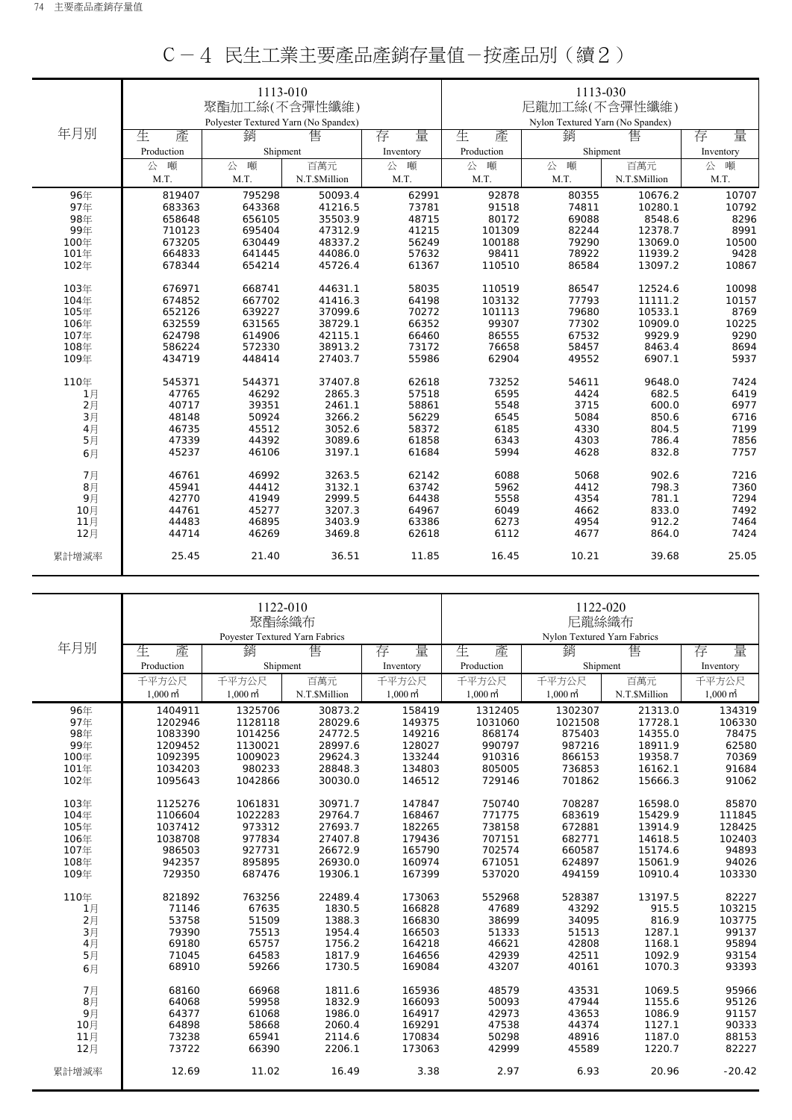|          |            | 1113-010                             |               |           |               | 1113-030                         |               |           |  |
|----------|------------|--------------------------------------|---------------|-----------|---------------|----------------------------------|---------------|-----------|--|
|          |            | 聚酯加工絲(不含彈性纖維)                        |               |           |               |                                  |               |           |  |
|          |            |                                      |               |           | 尼龍加工絲(不含彈性纖維) |                                  |               |           |  |
|          |            | Polyester Textured Yarn (No Spandex) |               |           |               | Nylon Textured Yarn (No Spandex) |               |           |  |
| 年月別      | 生<br>產     | 銷                                    | 售             | 量<br>存    | 生<br>產        | 銷                                | 售             | 量<br>存    |  |
|          | Production | Shipment                             |               | Inventory | Production    | Shipment                         |               | Inventory |  |
|          | 噸<br>公     | 噸<br>公                               | 百萬元           | 公<br>噸    | 噸<br>公        | 公<br>噸                           | 百萬元           | 噸<br>公    |  |
|          | M.T.       | M.T.                                 | N.T.\$Million | M.T.      | M.T.          | M.T.                             | N.T.\$Million | M.T.      |  |
| 96年      | 819407     | 795298                               | 50093.4       | 62991     | 92878         | 80355                            | 10676.2       | 10707     |  |
| 97年      | 683363     | 643368                               | 41216.5       | 73781     | 91518         | 74811                            | 10280.1       | 10792     |  |
| 98年      | 658648     | 656105                               | 35503.9       | 48715     | 80172         | 69088                            | 8548.6        | 8296      |  |
| 99年      | 710123     | 695404                               | 47312.9       | 41215     | 101309        | 82244                            | 12378.7       | 8991      |  |
| 100年     | 673205     | 630449                               | 48337.2       | 56249     | 100188        | 79290                            | 13069.0       | 10500     |  |
| 101年     | 664833     | 641445                               | 44086.0       | 57632     | 98411         | 78922                            | 11939.2       | 9428      |  |
| 102年     | 678344     | 654214                               | 45726.4       | 61367     | 110510        | 86584                            | 13097.2       | 10867     |  |
|          |            |                                      |               |           |               |                                  |               |           |  |
| 103年     | 676971     | 668741                               | 44631.1       | 58035     | 110519        | 86547                            | 12524.6       | 10098     |  |
| 104年     | 674852     | 667702                               | 41416.3       | 64198     | 103132        | 77793                            | 11111.2       | 10157     |  |
| 105年     | 652126     | 639227                               | 37099.6       | 70272     | 101113        | 79680                            | 10533.1       | 8769      |  |
| 106年     | 632559     | 631565                               | 38729.1       | 66352     | 99307         | 77302                            | 10909.0       | 10225     |  |
| 107年     | 624798     | 614906                               | 42115.1       | 66460     | 86555         | 67532                            | 9929.9        | 9290      |  |
| 108年     | 586224     | 572330                               | 38913.2       | 73172     | 76658         | 58457                            | 8463.4        | 8694      |  |
| 109年     | 434719     | 448414                               | 27403.7       | 55986     | 62904         | 49552                            | 6907.1        | 5937      |  |
| 110年     | 545371     | 544371                               | 37407.8       | 62618     | 73252         | 54611                            | 9648.0        | 7424      |  |
| 1月       | 47765      | 46292                                | 2865.3        | 57518     | 6595          | 4424                             | 682.5         | 6419      |  |
| 2月       | 40717      | 39351                                | 2461.1        | 58861     | 5548          | 3715                             | 600.0         | 6977      |  |
| 3月       | 48148      | 50924                                | 3266.2        | 56229     | 6545          | 5084                             | 850.6         | 6716      |  |
| 4月       | 46735      | 45512                                | 3052.6        | 58372     | 6185          | 4330                             | 804.5         | 7199      |  |
| 5月       | 47339      | 44392                                | 3089.6        | 61858     | 6343          | 4303                             | 786.4         | 7856      |  |
| 6月       | 45237      | 46106                                | 3197.1        | 61684     | 5994          | 4628                             | 832.8         | 7757      |  |
| 7月       | 46761      | 46992                                | 3263.5        | 62142     | 6088          | 5068                             | 902.6         | 7216      |  |
|          | 45941      | 44412                                | 3132.1        | 63742     | 5962          | 4412                             | 798.3         | 7360      |  |
| 8月<br>9月 | 42770      | 41949                                | 2999.5        | 64438     | 5558          | 4354                             | 781.1         | 7294      |  |
| 10月      | 44761      | 45277                                | 3207.3        | 64967     | 6049          | 4662                             | 833.0         | 7492      |  |
| 11月      | 44483      | 46895                                | 3403.9        | 63386     | 6273          | 4954                             | 912.2         | 7464      |  |
| 12月      | 44714      | 46269                                | 3469.8        | 62618     | 6112          | 4677                             | 864.0         | 7424      |  |
|          |            |                                      |               |           |               |                                  |               |           |  |
| 累計增減率    | 25.45      | 21.40                                | 36.51         | 11.85     | 16.45         | 10.21                            | 39.68         | 25.05     |  |
|          |            |                                      |               |           |               |                                  |               |           |  |

## C-4 民生工業主要產品產銷存量值-按產品別(續2)

|                |                     | 1122-010<br>聚酯絲織布              |              |                     |                             | 1122-020<br>尼龍絲織布   |               |                     |  |
|----------------|---------------------|--------------------------------|--------------|---------------------|-----------------------------|---------------------|---------------|---------------------|--|
|                |                     | Poyester Textured Yarn Fabrics |              |                     | Nylon Textured Yarn Fabrics |                     |               |                     |  |
| 年月別            | 產<br>生              | 銷                              | 售            | 量<br>存              | 生<br>產                      | 銷                   | 售             | 量<br>存              |  |
|                | Production          | Shipment                       |              | Inventory           | Production                  | Shipment            |               | Inventory           |  |
|                | 千平方公尺               | 千平方公尺                          | 百萬元          | 千平方公尺               | 千平方公尺                       | 千平方公尺               | 百萬元           | 千平方公尺               |  |
|                | $1,000 \text{ m}^2$ | $1,000 \text{ m}^2$            | N.T.SMillion | $1,000 \text{ m}^2$ | $1.000 \text{ m}^2$         | $1,000 \text{ m}^2$ | N.T.\$Million | $1,000 \text{ m}^2$ |  |
| 96年            | 1404911             | 1325706                        | 30873.2      | 158419              | 1312405                     | 1302307             | 21313.0       | 134319              |  |
| 97年            | 1202946             | 1128118                        | 28029.6      | 149375              | 1031060                     | 1021508             | 17728.1       | 106330              |  |
| 98年            | 1083390             | 1014256                        | 24772.5      | 149216              | 868174                      | 875403              | 14355.0       | 78475               |  |
| 99年            | 1209452             | 1130021                        | 28997.6      | 128027              | 990797                      | 987216              | 18911.9       | 62580               |  |
| 100年           | 1092395             | 1009023                        | 29624.3      | 133244              | 910316                      | 866153              | 19358.7       | 70369               |  |
| 101年           | 1034203             | 980233                         | 28848.3      | 134803              | 805005                      | 736853              | 16162.1       | 91684               |  |
| 102年           | 1095643             | 1042866                        | 30030.0      | 146512              | 729146                      | 701862              | 15666.3       | 91062               |  |
| 103年           | 1125276             | 1061831                        | 30971.7      | 147847              | 750740                      | 708287              | 16598.0       | 85870               |  |
| 104年           | 1106604             | 1022283                        | 29764.7      | 168467              | 771775                      | 683619              | 15429.9       | 111845              |  |
| 105年           | 1037412             | 973312                         | 27693.7      | 182265              | 738158                      | 672881              | 13914.9       | 128425              |  |
| 106年           | 1038708             | 977834                         | 27407.8      | 179436              | 707151                      | 682771              | 14618.5       | 102403              |  |
| 107年           | 986503              | 927731                         | 26672.9      | 165790              | 702574                      | 660587              | 15174.6       | 94893               |  |
| 108年           | 942357              | 895895                         | 26930.0      | 160974              | 671051                      | 624897              | 15061.9       | 94026               |  |
| 109年           | 729350              | 687476                         | 19306.1      | 167399              | 537020                      | 494159              | 10910.4       | 103330              |  |
| 110年           | 821892              | 763256                         | 22489.4      | 173063              | 552968                      | 528387              | 13197.5       | 82227               |  |
| 1月             | 71146               | 67635                          | 1830.5       | 166828              | 47689                       | 43292               | 915.5         | 103215              |  |
| $2$ 月          | 53758               | 51509                          | 1388.3       | 166830              | 38699                       | 34095               | 816.9         | 103775              |  |
| 3月             | 79390               | 75513                          | 1954.4       | 166503              | 51333                       | 51513               | 1287.1        | 99137               |  |
| 4月             | 69180               | 65757                          | 1756.2       | 164218              | 46621                       | 42808               | 1168.1        | 95894               |  |
| 5 <sub>1</sub> | 71045               | 64583                          | 1817.9       | 164656              | 42939                       | 42511               | 1092.9        | 93154               |  |
| 6月             | 68910               | 59266                          | 1730.5       | 169084              | 43207                       | 40161               | 1070.3        | 93393               |  |
| 7月             | 68160               | 66968                          | 1811.6       | 165936              | 48579                       | 43531               | 1069.5        | 95966               |  |
| 8月             | 64068               | 59958                          | 1832.9       | 166093              | 50093                       | 47944               | 1155.6        | 95126               |  |
| 9月             | 64377               | 61068                          | 1986.0       | 164917              | 42973                       | 43653               | 1086.9        | 91157               |  |
| 10月            | 64898               | 58668                          | 2060.4       | 169291              | 47538                       | 44374               | 1127.1        | 90333               |  |
| 11月            | 73238               | 65941                          | 2114.6       | 170834              | 50298                       | 48916               | 1187.0        | 88153               |  |
| 12月            | 73722               | 66390                          | 2206.1       | 173063              | 42999                       | 45589               | 1220.7        | 82227               |  |
| 累計增減率          | 12.69               | 11.02                          | 16.49        | 3.38                | 2.97                        | 6.93                | 20.96         | $-20.42$            |  |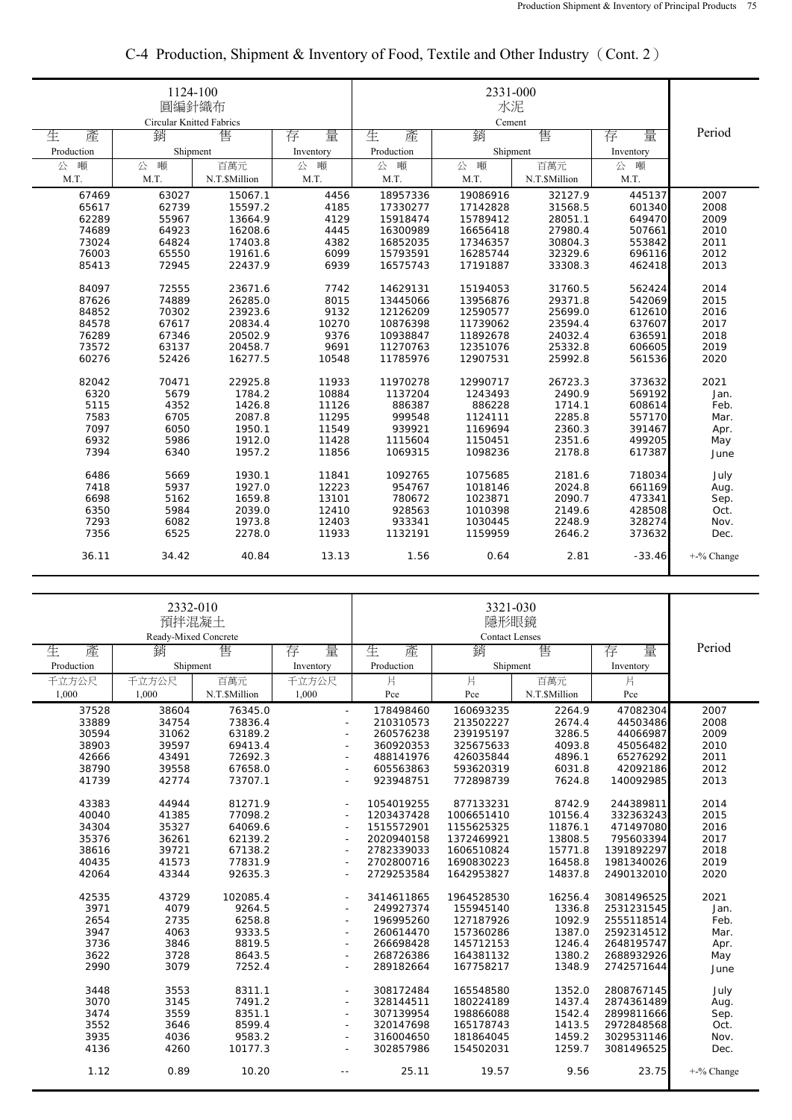|            | 1124-100<br>圓編針織布<br>Circular Knitted Fabrics |               |           |            |             |               |           |            |
|------------|-----------------------------------------------|---------------|-----------|------------|-------------|---------------|-----------|------------|
| 生<br>產     | 銷                                             | 售             | 量<br>存    | 生<br>產     | Cement<br>銷 | 售             | 量<br>存    | Period     |
| Production | Shipment                                      |               | Inventory | Production | Shipment    |               | Inventory |            |
| 公<br>噸     | 噸<br>公                                        | 百萬元           | 公<br>噸    | 噸<br>公     | 公<br>噸      | 百萬元           | 噸<br>公    |            |
| M.T.       | M.T.                                          | N.T.\$Million | M.T.      | M.T.       | M.T.        | N.T.\$Million | M.T.      |            |
| 67469      | 63027                                         | 15067.1       | 4456      | 18957336   | 19086916    | 32127.9       | 445137    | 2007       |
| 65617      | 62739                                         | 15597.2       | 4185      | 17330277   | 17142828    | 31568.5       | 601340    | 2008       |
| 62289      | 55967                                         | 13664.9       | 4129      | 15918474   | 15789412    | 28051.1       | 649470    | 2009       |
| 74689      | 64923                                         | 16208.6       | 4445      | 16300989   | 16656418    | 27980.4       | 507661    | 2010       |
| 73024      | 64824                                         | 17403.8       | 4382      | 16852035   | 17346357    | 30804.3       | 553842    | 2011       |
| 76003      | 65550                                         | 19161.6       | 6099      | 15793591   | 16285744    | 32329.6       | 696116    | 2012       |
| 85413      | 72945                                         | 22437.9       | 6939      | 16575743   | 17191887    | 33308.3       | 462418    | 2013       |
| 84097      | 72555                                         | 23671.6       | 7742      | 14629131   | 15194053    | 31760.5       | 562424    | 2014       |
| 87626      | 74889                                         | 26285.0       | 8015      | 13445066   | 13956876    | 29371.8       | 542069    | 2015       |
| 84852      | 70302                                         | 23923.6       | 9132      | 12126209   | 12590577    | 25699.0       | 612610    | 2016       |
| 84578      | 67617                                         | 20834.4       | 10270     | 10876398   | 11739062    | 23594.4       | 637607    | 2017       |
| 76289      | 67346                                         | 20502.9       | 9376      | 10938847   | 11892678    | 24032.4       | 636591    | 2018       |
| 73572      | 63137                                         | 20458.7       | 9691      | 11270763   | 12351076    | 25332.8       | 606605    | 2019       |
| 60276      | 52426                                         | 16277.5       | 10548     | 11785976   | 12907531    | 25992.8       | 561536    | 2020       |
| 82042      | 70471                                         | 22925.8       | 11933     | 11970278   | 12990717    | 26723.3       | 373632    | 2021       |
| 6320       | 5679                                          | 1784.2        | 10884     | 1137204    | 1243493     | 2490.9        | 569192    | Jan.       |
| 5115       | 4352                                          | 1426.8        | 11126     | 886387     | 886228      | 1714.1        | 608614    | Feb.       |
| 7583       | 6705                                          | 2087.8        | 11295     | 999548     | 1124111     | 2285.8        | 557170    | Mar.       |
| 7097       | 6050                                          | 1950.1        | 11549     | 939921     | 1169694     | 2360.3        | 391467    | Apr.       |
| 6932       | 5986                                          | 1912.0        | 11428     | 1115604    | 1150451     | 2351.6        | 499205    | May        |
| 7394       | 6340                                          | 1957.2        | 11856     | 1069315    | 1098236     | 2178.8        | 617387    |            |
|            |                                               |               |           |            |             |               |           | June       |
| 6486       | 5669                                          | 1930.1        | 11841     | 1092765    | 1075685     | 2181.6        | 718034    | July       |
| 7418       | 5937                                          | 1927.0        | 12223     | 954767     | 1018146     | 2024.8        | 661169    | Aug.       |
| 6698       | 5162                                          | 1659.8        | 13101     | 780672     | 1023871     | 2090.7        | 473341    | Sep.       |
| 6350       | 5984                                          | 2039.0        | 12410     | 928563     | 1010398     | 2149.6        | 428508    | Oct.       |
| 7293       | 6082                                          | 1973.8        | 12403     | 933341     | 1030445     | 2248.9        | 328274    | Nov.       |
| 7356       | 6525                                          | 2278.0        | 11933     | 1132191    | 1159959     | 2646.2        | 373632    | Dec.       |
| 36.11      | 34.42                                         | 40.84         | 13.13     | 1.56       | 0.64        | 2.81          | $-33.46$  | +-% Change |

## C-4 Production, Shipment & Inventory of Food, Textile and Other Industry(Cont. 2)

|            | 2332-010<br>預拌混凝土<br>Ready-Mixed Concrete |               |                          |            | 3321-030<br>隱形眼鏡<br><b>Contact Lenses</b> |               |            |            |
|------------|-------------------------------------------|---------------|--------------------------|------------|-------------------------------------------|---------------|------------|------------|
| 生<br>產     | 銷                                         | 售             | 量<br>存                   | 生<br>產     | 銷                                         | 售             | 存<br>量     | Period     |
| Production | Shipment                                  |               | Inventory                | Production | Shipment                                  |               | Inventory  |            |
| 千立方公尺      | 千立方公尺                                     | 百萬元           | 千立方公尺                    | 片          | 片                                         | 百萬元           | 片          |            |
| 1,000      | 1,000                                     | N.T.\$Million | 1,000                    | Pce        | Pce                                       | N.T.\$Million | Pce        |            |
| 37528      | 38604                                     | 76345.0       | $\sim$                   | 178498460  | 160693235                                 | 2264.9        | 47082304   | 2007       |
| 33889      | 34754                                     | 73836.4       | ÷.                       | 210310573  | 213502227                                 | 2674.4        | 44503486   | 2008       |
| 30594      | 31062                                     | 63189.2       | $\sim$                   | 260576238  | 239195197                                 | 3286.5        | 44066987   | 2009       |
| 38903      | 39597                                     | 69413.4       | $\overline{\phantom{a}}$ | 360920353  | 325675633                                 | 4093.8        | 45056482   | 2010       |
| 42666      | 43491                                     | 72692.3       | ÷                        | 488141976  | 426035844                                 | 4896.1        | 65276292   | 2011       |
| 38790      | 39558                                     | 67658.0       | ÷                        | 605563863  | 593620319                                 | 6031.8        | 42092186   | 2012       |
| 41739      | 42774                                     | 73707.1       | $\sim$                   | 923948751  | 772898739                                 | 7624.8        | 140092985  | 2013       |
| 43383      | 44944                                     | 81271.9       | $\sim$                   | 1054019255 | 877133231                                 | 8742.9        | 244389811  | 2014       |
| 40040      | 41385                                     | 77098.2       | $\sim$                   | 1203437428 | 1006651410                                | 10156.4       | 332363243  | 2015       |
| 34304      | 35327                                     | 64069.6       | ٠                        | 1515572901 | 1155625325                                | 11876.1       | 471497080  | 2016       |
| 35376      | 36261                                     | 62139.2       | $\overline{\phantom{a}}$ | 2020940158 | 1372469921                                | 13808.5       | 795603394  | 2017       |
| 38616      | 39721                                     | 67138.2       | $\overline{\phantom{a}}$ | 2782339033 | 1606510824                                | 15771.8       | 1391892297 | 2018       |
| 40435      | 41573                                     | 77831.9       | ÷                        | 2702800716 | 1690830223                                | 16458.8       | 1981340026 | 2019       |
| 42064      | 43344                                     | 92635.3       | $\overline{\phantom{a}}$ | 2729253584 | 1642953827                                | 14837.8       | 2490132010 | 2020       |
| 42535      | 43729                                     | 102085.4      | $\overline{\phantom{a}}$ | 3414611865 | 1964528530                                | 16256.4       | 3081496525 | 2021       |
| 3971       | 4079                                      | 9264.5        | $\sim$                   | 249927374  | 155945140                                 | 1336.8        | 2531231545 | Jan.       |
| 2654       | 2735                                      | 6258.8        | $\sim$                   | 196995260  | 127187926                                 | 1092.9        | 2555118514 | Feb.       |
| 3947       | 4063                                      | 9333.5        | ÷                        | 260614470  | 157360286                                 | 1387.0        | 2592314512 | Mar.       |
| 3736       | 3846                                      | 8819.5        | ÷                        | 266698428  | 145712153                                 | 1246.4        | 2648195747 | Apr.       |
| 3622       | 3728                                      | 8643.5        | $\sim$                   | 268726386  | 164381132                                 | 1380.2        | 2688932926 | May        |
| 2990       | 3079                                      | 7252.4        | $\overline{\phantom{a}}$ | 289182664  | 167758217                                 | 1348.9        | 2742571644 | June       |
| 3448       | 3553                                      | 8311.1        | $\overline{\phantom{a}}$ | 308172484  | 165548580                                 | 1352.0        | 2808767145 | July       |
| 3070       | 3145                                      | 7491.2        | ÷                        | 328144511  | 180224189                                 | 1437.4        | 2874361489 | Aug.       |
| 3474       | 3559                                      | 8351.1        | $\overline{\phantom{a}}$ | 307139954  | 198866088                                 | 1542.4        | 2899811666 | Sep.       |
| 3552       | 3646                                      | 8599.4        | $\sim$                   | 320147698  | 165178743                                 | 1413.5        | 2972848568 | Oct.       |
| 3935       | 4036                                      | 9583.2        | ÷                        | 316004650  | 181864045                                 | 1459.2        | 3029531146 | Nov.       |
| 4136       | 4260                                      | 10177.3       | $\overline{\phantom{a}}$ | 302857986  | 154502031                                 | 1259.7        | 3081496525 | Dec.       |
| 1.12       | 0.89                                      | 10.20         | $\overline{a}$           | 25.11      | 19.57                                     | 9.56          | 23.75      | +-% Change |